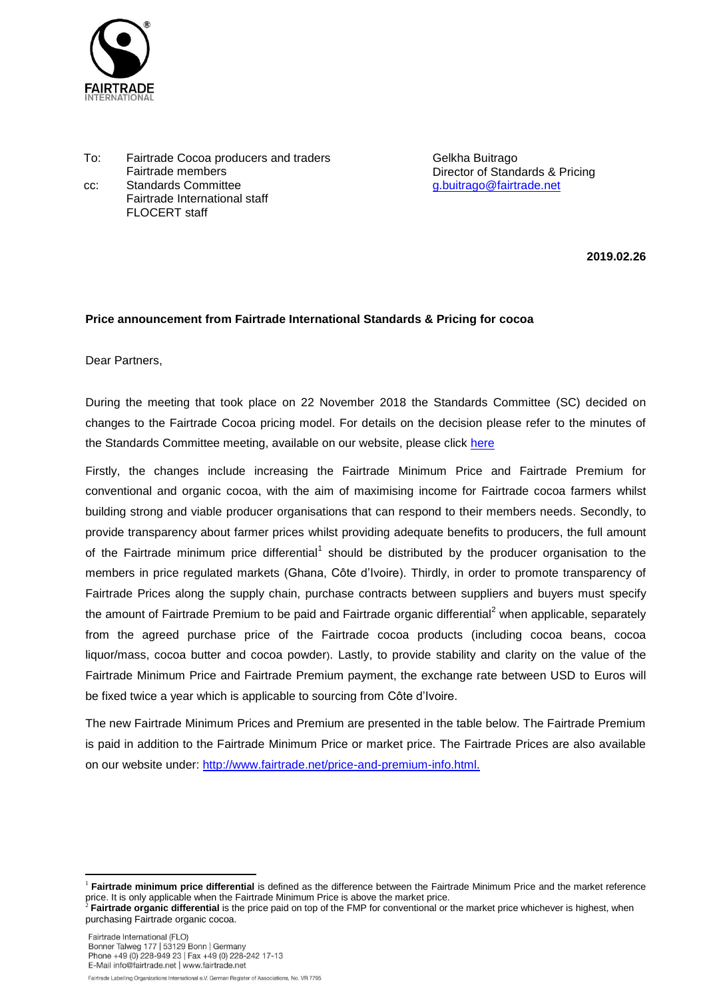

To: Fairtrade Cocoa producers and traders Fairtrade members cc: Standards Committee Fairtrade International staff

FLOCERT staff

Gelkha Buitrago Director of Standards & Pricing [g.buitrago@fairtrade.net](mailto:g.buitrago@fairtrade.net)

**2019.02.26**

## **Price announcement from Fairtrade International Standards & Pricing for cocoa**

Dear Partners,

During the meeting that took place on 22 November 2018 the Standards Committee (SC) decided on changes to the Fairtrade Cocoa pricing model. For details on the decision please refer to the minutes of the Standards Committee meeting, available on our website, please click [here](https://www.fairtrade.net/fileadmin/user_upload/content/2009/standards/minutes/2018-11-22_SC-Minutes-Meeting82-November2018.pdf)

Firstly, the changes include increasing the Fairtrade Minimum Price and Fairtrade Premium for conventional and organic cocoa, with the aim of maximising income for Fairtrade cocoa farmers whilst building strong and viable producer organisations that can respond to their members needs. Secondly, to provide transparency about farmer prices whilst providing adequate benefits to producers, the full amount of the Fairtrade minimum price differential<sup>1</sup> should be distributed by the producer organisation to the members in price regulated markets (Ghana, Côte d'Ivoire). Thirdly, in order to promote transparency of Fairtrade Prices along the supply chain, purchase contracts between suppliers and buyers must specify the amount of Fairtrade Premium to be paid and Fairtrade organic differential<sup>2</sup> when applicable, separately from the agreed purchase price of the Fairtrade cocoa products (including cocoa beans, cocoa liquor/mass, cocoa butter and cocoa powder). Lastly, to provide stability and clarity on the value of the Fairtrade Minimum Price and Fairtrade Premium payment, the exchange rate between USD to Euros will be fixed twice a year which is applicable to sourcing from Côte d'Ivoire.

The new Fairtrade Minimum Prices and Premium are presented in the table below. The Fairtrade Premium is paid in addition to the Fairtrade Minimum Price or market price. The Fairtrade Prices are also available on our website under: [http://www.fairtrade.net/price-and-premium-info.html.](http://www.fairtrade.net/price-and-premium-info.html)

1

<sup>1</sup> **Fairtrade minimum price differential** is defined as the difference between the Fairtrade Minimum Price and the market reference price. It is only applicable when the Fairtrade Minimum Price is above the market price.

<sup>&</sup>lt;sup>2</sup> Fairtrade organic differential is the price paid on top of the FMP for conventional or the market price whichever is highest, when purchasing Fairtrade organic cocoa.